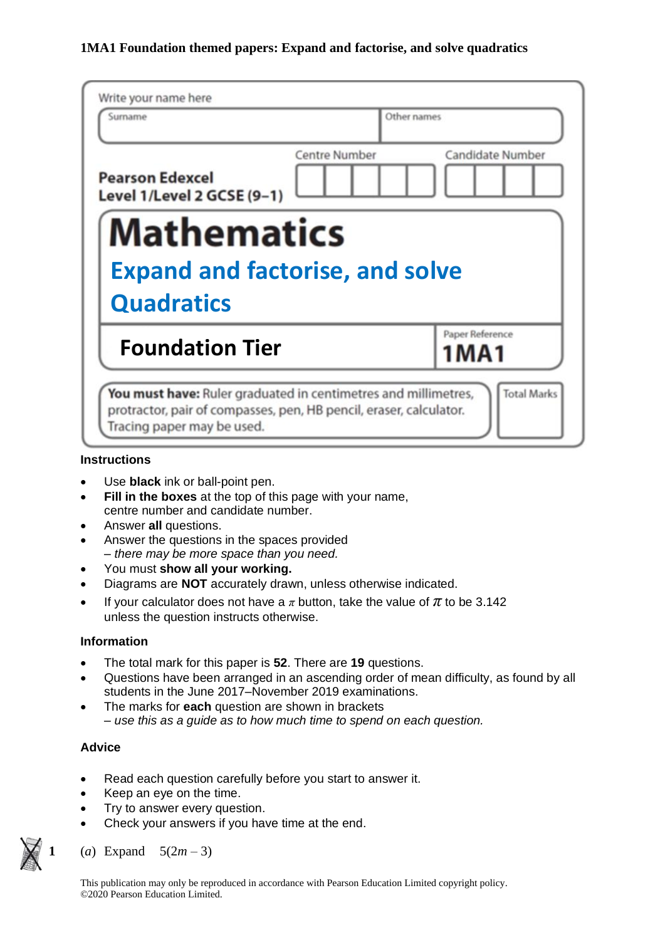| Write your name here                                                                                                                                               |               |                            |  |  |  |
|--------------------------------------------------------------------------------------------------------------------------------------------------------------------|---------------|----------------------------|--|--|--|
| Surname                                                                                                                                                            | Other names   |                            |  |  |  |
| <b>Pearson Edexcel</b><br>Level 1/Level 2 GCSE (9-1)                                                                                                               | Centre Number | <b>Candidate Number</b>    |  |  |  |
| <b>Mathematics</b>                                                                                                                                                 |               |                            |  |  |  |
| <b>Expand and factorise, and solve</b>                                                                                                                             |               |                            |  |  |  |
| <b>Quadratics</b>                                                                                                                                                  |               |                            |  |  |  |
| <b>Foundation Tier</b>                                                                                                                                             |               | Paper Reference<br>1 M A 1 |  |  |  |
| You must have: Ruler graduated in centimetres and millimetres,<br>protractor, pair of compasses, pen, HB pencil, eraser, calculator.<br>Tracing paper may be used. |               | <b>Total Marks</b>         |  |  |  |

### **Instructions**

- Use **black** ink or ball-point pen.
- **Fill in the boxes** at the top of this page with your name, centre number and candidate number.
- Answer **all** questions.
- Answer the questions in the spaces provided *– there may be more space than you need.*
- You must **show all your working.**
- Diagrams are **NOT** accurately drawn, unless otherwise indicated.
- If your calculator does not have a  $\pi$  button, take the value of  $\pi$  to be 3.142 unless the question instructs otherwise.

### **Information**

- The total mark for this paper is **52**. There are **19** questions.
- Questions have been arranged in an ascending order of mean difficulty, as found by all students in the June 2017–November 2019 examinations.
- The marks for **each** question are shown in brackets *– use this as a guide as to how much time to spend on each question.*

### **Advice**

- Read each question carefully before you start to answer it.
- Keep an eye on the time.
- Try to answer every question.
- Check your answers if you have time at the end.
- (*a*) Expand  $5(2m-3)$

This publication may only be reproduced in accordance with Pearson Education Limited copyright policy. ©2020 Pearson Education Limited.

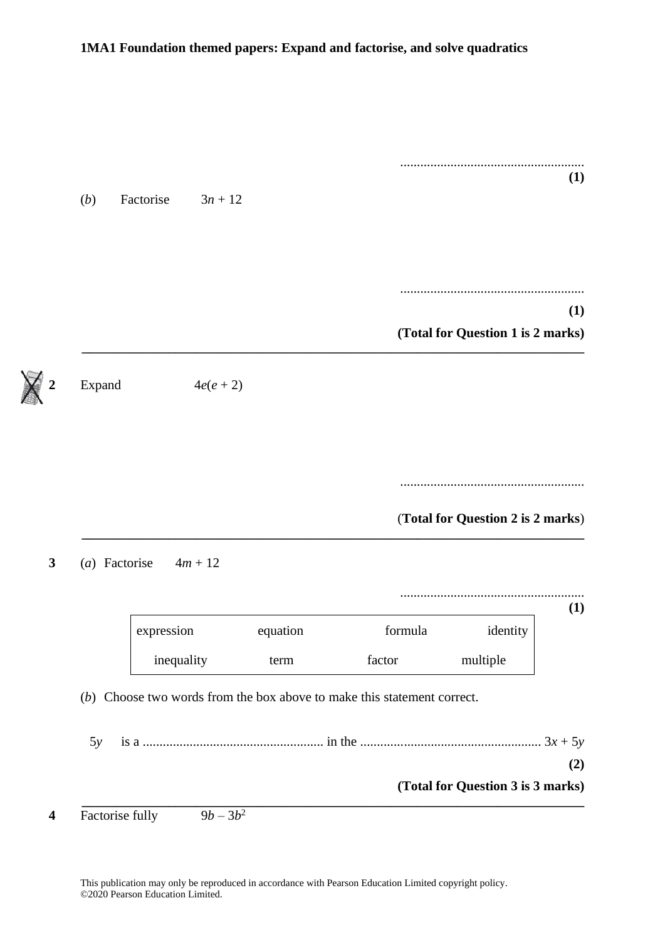| (1) |                                   |                                                                         |          |             |                  |
|-----|-----------------------------------|-------------------------------------------------------------------------|----------|-------------|------------------|
|     |                                   |                                                                         |          | $3n + 12$   | (b)<br>Factorise |
|     |                                   |                                                                         |          |             |                  |
| (1) |                                   |                                                                         |          |             |                  |
|     | (Total for Question 1 is 2 marks) |                                                                         |          |             |                  |
|     |                                   |                                                                         |          | $4e(e + 2)$ | Expand           |
|     |                                   |                                                                         |          |             |                  |
|     |                                   |                                                                         |          |             |                  |
|     |                                   |                                                                         |          |             |                  |
|     |                                   |                                                                         |          |             |                  |
|     | (Total for Question 2 is 2 marks) |                                                                         |          |             |                  |
|     |                                   |                                                                         |          | $4m + 12$   | (a) Factorise    |
|     |                                   |                                                                         |          |             |                  |
|     | identity                          | formula                                                                 | equation | expression  |                  |
|     | multiple                          | factor                                                                  | term     | inequality  |                  |
|     |                                   | (b) Choose two words from the box above to make this statement correct. |          |             |                  |
| (1) |                                   |                                                                         |          |             |                  |
| (2) |                                   |                                                                         |          |             | 5y               |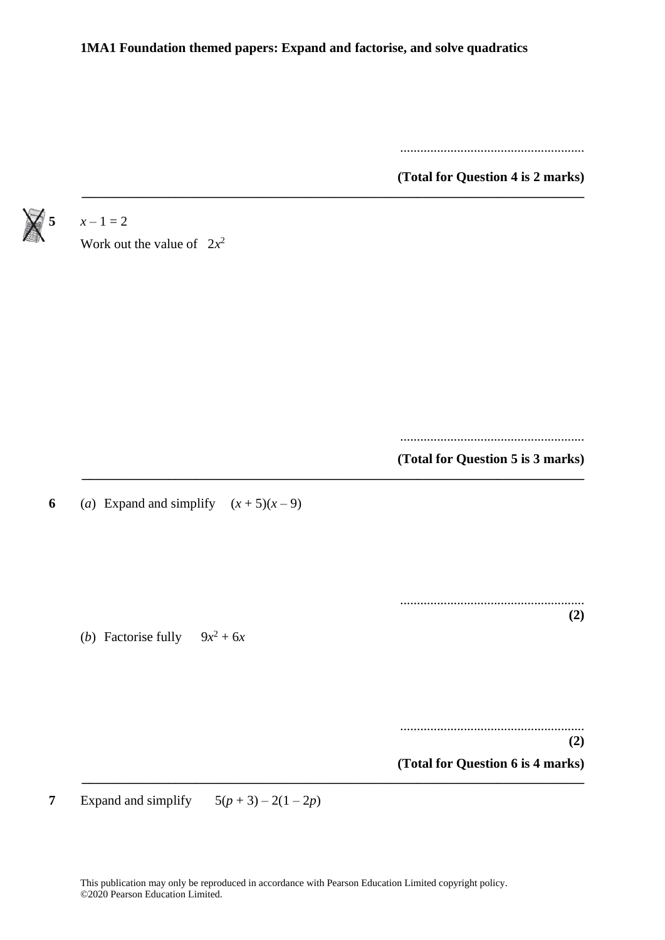**\_\_\_\_\_\_\_\_\_\_\_\_\_\_\_\_\_\_\_\_\_\_\_\_\_\_\_\_\_\_\_\_\_\_\_\_\_\_\_\_\_\_\_\_\_\_\_\_\_\_\_\_\_\_\_\_\_\_\_\_\_\_\_\_\_\_\_\_\_\_\_\_\_\_\_**

.......................................................

**(Total for Question 4 is 2 marks)**



| $x - 1 = 2$                              |                                          |
|------------------------------------------|------------------------------------------|
| Work out the value of $2x^2$             |                                          |
|                                          |                                          |
|                                          |                                          |
|                                          |                                          |
|                                          |                                          |
|                                          |                                          |
|                                          |                                          |
|                                          | (Total for Question 5 is 3 marks)        |
| (a) Expand and simplify $(x+5)(x-9)$     |                                          |
|                                          |                                          |
| ( <i>b</i> ) Factorise fully $9x^2 + 6x$ | (2)                                      |
|                                          |                                          |
|                                          |                                          |
|                                          |                                          |
|                                          |                                          |
|                                          | (2)<br>(Total for Question 6 is 4 marks) |

**7** Expand and simplify  $5(p+3) - 2(1-2p)$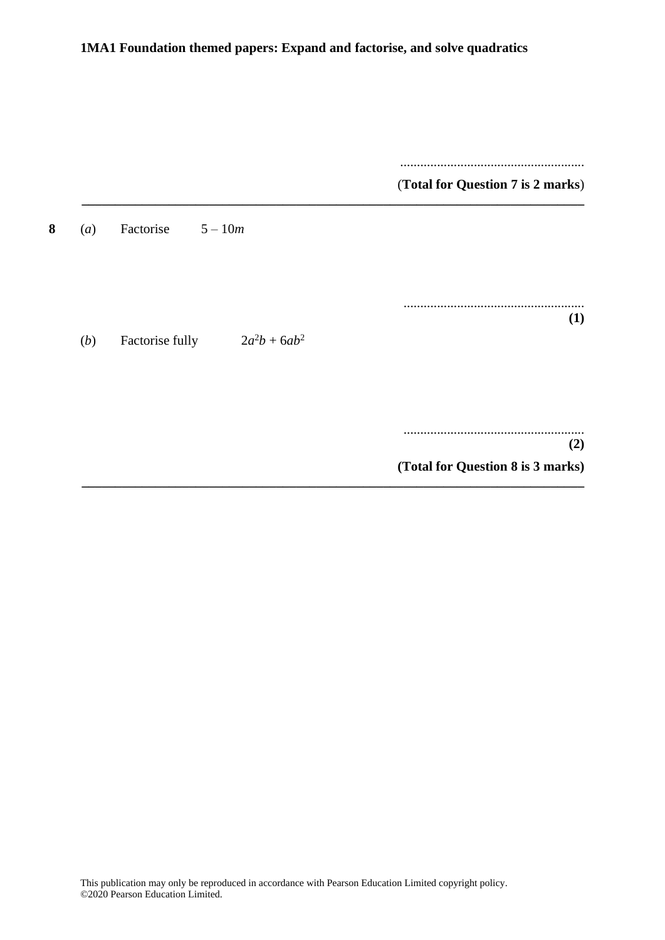| <br>(Total for Question 7 is 2 marks) |                                    |          |
|---------------------------------------|------------------------------------|----------|
|                                       | Factorise<br>$5 - 10m$             | 8<br>(a) |
|                                       |                                    |          |
| (1)                                   | $2a^2b + 6ab^2$<br>Factorise fully | (b)      |
|                                       |                                    |          |
| (2)                                   |                                    |          |
| (Total for Question 8 is 3 marks)     |                                    |          |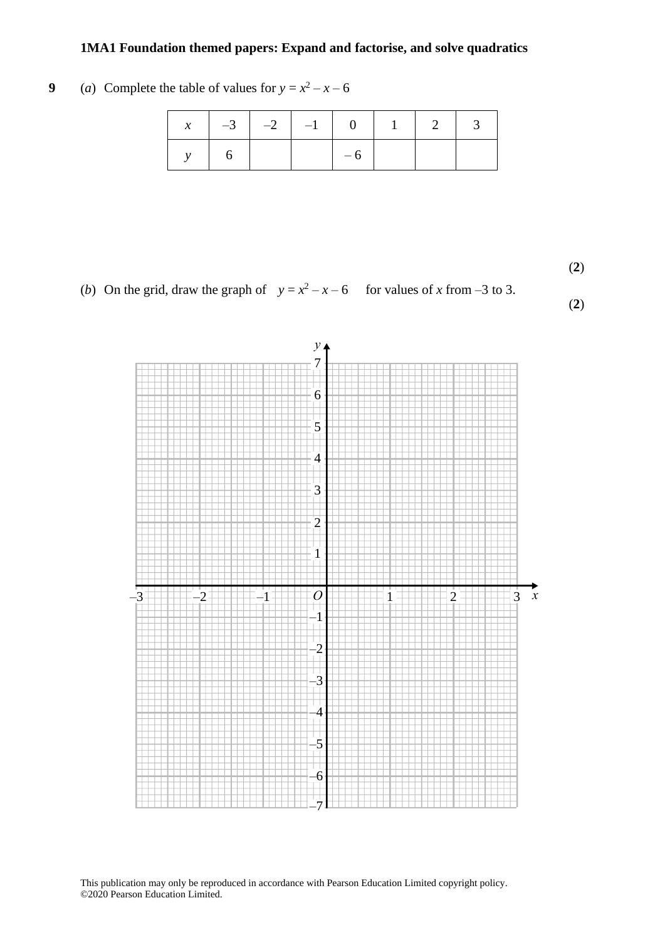#### **9** (*a*) Complete the table of values for  $y = x^2 - x - 6$

|  | $x \mid -3 \mid -2 \mid -1 \mid 0 \mid 1 \mid 2 \mid 3$ |      |  |  |
|--|---------------------------------------------------------|------|--|--|
|  |                                                         | $-6$ |  |  |

(**2**) **(2)**

(*b*) On the grid, draw the graph of  $y = x^2 - x - 6$  for values of *x* from -3 to 3.

(**2**)

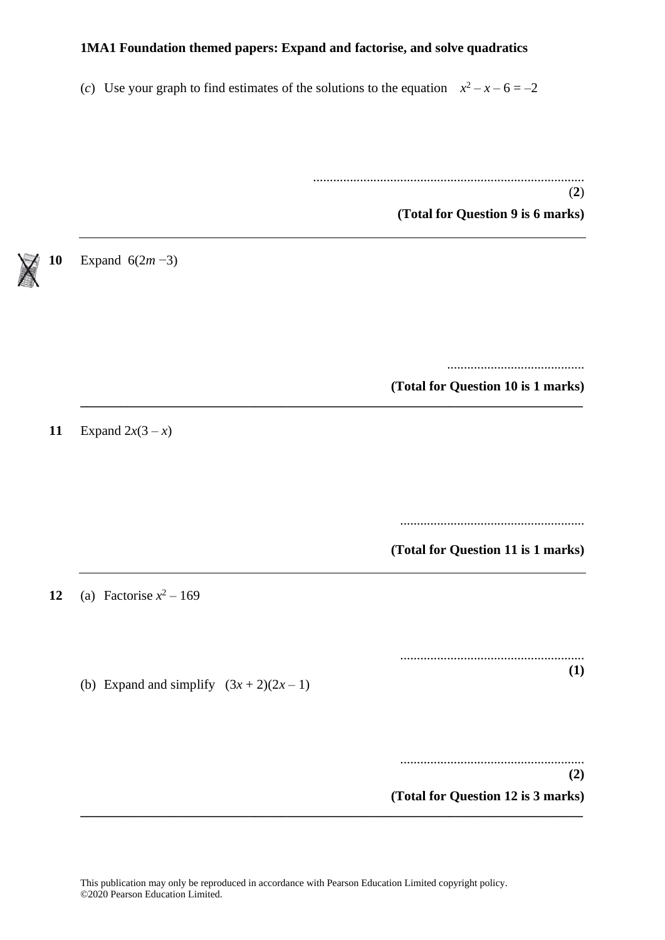(*c*) Use your graph to find estimates of the solutions to the equation  $x^2 - x - 6 = -2$ 

**\_\_\_\_\_\_\_\_\_\_\_\_\_\_\_\_\_\_\_\_\_\_\_\_\_\_\_\_\_\_\_\_\_\_\_\_\_\_\_\_\_\_\_\_\_\_\_\_\_\_\_\_\_\_\_\_\_\_\_\_\_\_\_\_\_\_\_\_\_\_\_\_\_\_\_**

.................................................................................

**(Total for Question 9 is 6 marks)**

(**2**)

**10** Expand 6(2*m* −3)

......................................... **(Total for Question 10 is 1 marks)**

**11** Expand  $2x(3 - x)$ 

.......................................................

**(Total for Question 11 is 1 marks)**

**12** (a) Factorise  $x^2 - 169$ 

....................................................... **(1)**

(b) Expand and simplify  $(3x + 2)(2x - 1)$ 

....................................................... **(2) (Total for Question 12 is 3 marks)**

**\_\_\_\_\_\_\_\_\_\_\_\_\_\_\_\_\_\_\_\_\_\_\_\_\_\_\_\_\_\_\_\_\_\_\_\_\_\_\_\_\_\_\_\_\_\_\_\_\_\_\_\_\_\_\_\_\_\_\_\_\_\_\_\_\_\_\_\_\_\_\_\_\_\_\_**

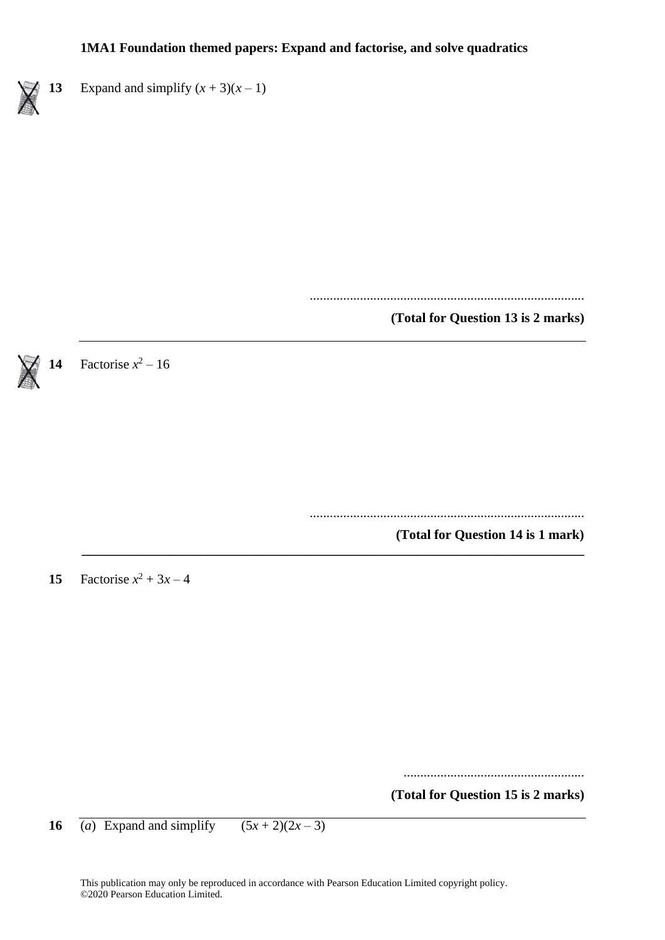

..................................................................................

**(Total for Question 13 is 2 marks)**



**14** Factorise  $x^2 - 16$ 

..................................................................................

**(Total for Question 14 is 1 mark) \_\_\_\_\_\_\_\_\_\_\_\_\_\_\_\_\_\_\_\_\_\_\_\_\_\_\_\_\_\_\_\_\_\_\_\_\_\_\_\_\_\_\_\_\_\_\_\_\_\_\_\_\_\_\_\_\_\_\_\_\_\_\_\_\_\_\_\_\_\_\_\_\_\_\_**

**15** Factorise  $x^2 + 3x - 4$ 

......................................................

**(Total for Question 15 is 2 marks)**

**16** (*a*) Expand and simplify  $(5x+2)(2x-3)$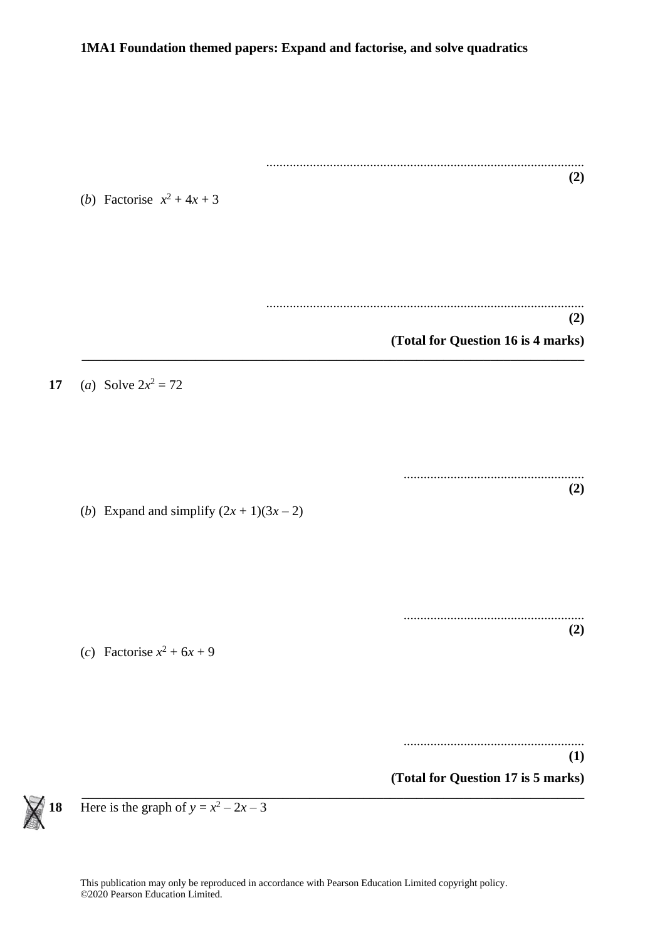............................................................................................... **(2)** (*b*) Factorise  $x^2 + 4x + 3$ ............................................................................................... **(2) (Total for Question 16 is 4 marks) \_\_\_\_\_\_\_\_\_\_\_\_\_\_\_\_\_\_\_\_\_\_\_\_\_\_\_\_\_\_\_\_\_\_\_\_\_\_\_\_\_\_\_\_\_\_\_\_\_\_\_\_\_\_\_\_\_\_\_\_\_\_\_\_\_\_\_\_\_\_\_\_\_\_\_ 17** (*a*) Solve  $2x^2 = 72$ ...................................................... **(2)** (*b*) Expand and simplify  $(2x + 1)(3x - 2)$ ...................................................... **(2)** (*c*) Factorise  $x^2 + 6x + 9$ ...................................................... **(1) (Total for Question 17 is 5 marks) \_\_\_\_\_\_\_\_\_\_\_\_\_\_\_\_\_\_\_\_\_\_\_\_\_\_\_\_\_\_\_\_\_\_\_\_\_\_\_\_\_\_\_\_\_\_\_\_\_\_\_\_\_\_\_\_\_\_\_\_\_\_\_\_\_\_\_\_\_\_\_\_\_\_\_**



**18** Here is the graph of  $y = x^2 - 2x - 3$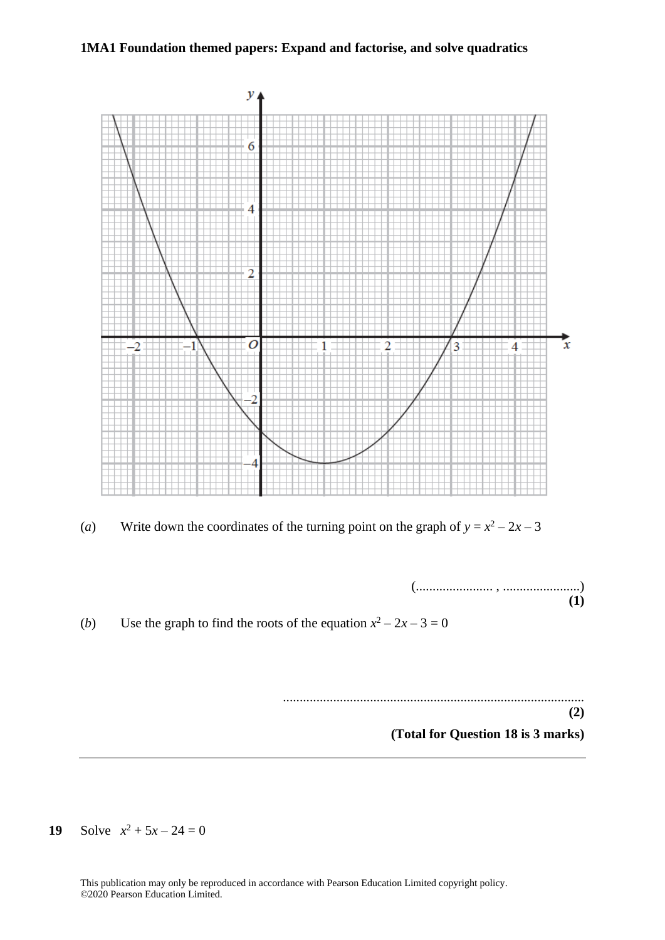

(*a*) Write down the coordinates of the turning point on the graph of  $y = x^2 - 2x - 3$ 



(*b*) Use the graph to find the roots of the equation  $x^2 - 2x - 3 = 0$ 

.......................................................................................... **(2)**

**(Total for Question 18 is 3 marks)**

**19** Solve  $x^2 + 5x - 24 = 0$ 

This publication may only be reproduced in accordance with Pearson Education Limited copyright policy. ©2020 Pearson Education Limited.